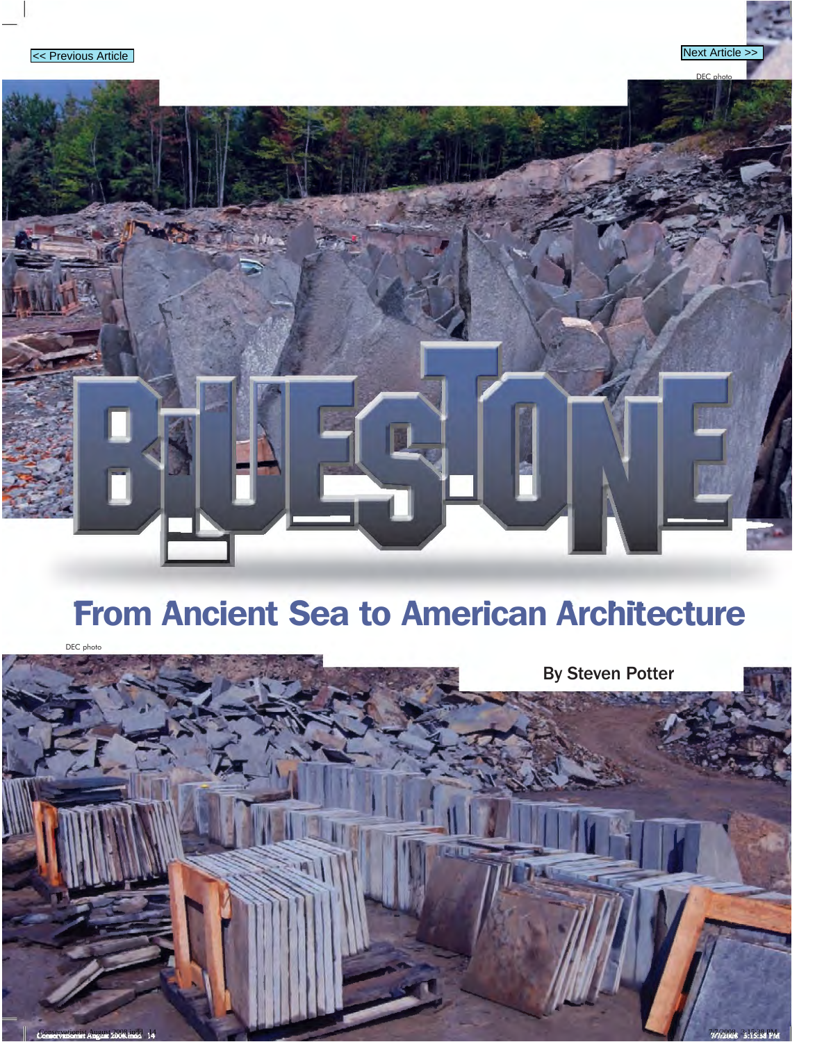DEC photo

## From Ancient Sea to American Architecture

DEC photo

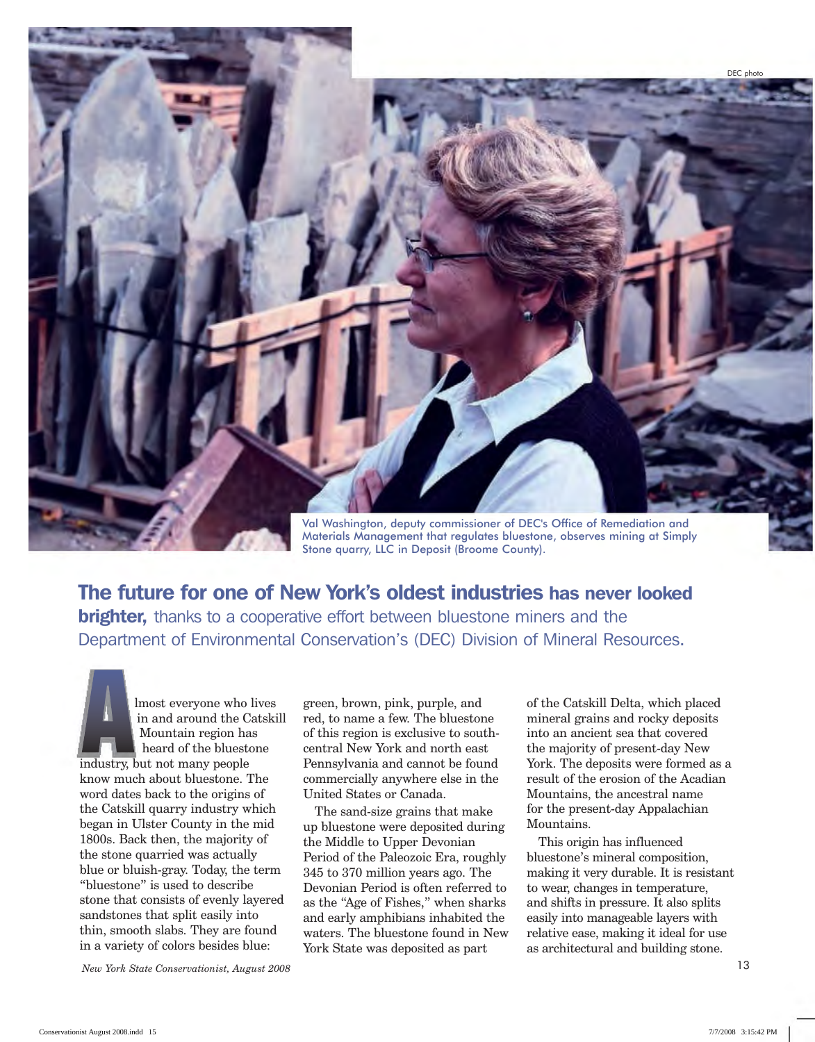DEC photo Val Washington, deputy commissioner of DEC's Office of Remediation and

Materials Management that regulates bluestone, observes mining at Simply Stone quarry, LLC in Deposit (Broome County).

The future for one of New York's oldest industries has never looked **brighter,** thanks to a cooperative effort between bluestone miners and the Department of Environmental Conservation's (DEC) Division of Mineral Resources.

Munost everyone who lives<br>
in and around the Catski<br>
Mountain region has<br>
heard of the bluestone<br>
the bluestone in and around the Catskill Mountain region has heard of the bluestone industry, but not many people know much about bluestone. The word dates back to the origins of the Catskill quarry industry which began in Ulster County in the mid 1800s. Back then, the majority of the stone quarried was actually blue or bluish-gray. Today, the term "bluestone" is used to describe stone that consists of evenly layered sandstones that split easily into thin, smooth slabs. They are found in a variety of colors besides blue:

green, brown, pink, purple, and red, to name a few. The bluestone of this region is exclusive to southcentral New York and north east Pennsylvania and cannot be found commercially anywhere else in the United States or Canada.

The sand-size grains that make up bluestone were deposited during the Middle to Upper Devonian Period of the Paleozoic Era, roughly 345 to 370 million years ago. The Devonian Period is often referred to as the "Age of Fishes," when sharks and early amphibians inhabited the waters. The bluestone found in New York State was deposited as part

of the Catskill Delta, which placed mineral grains and rocky deposits into an ancient sea that covered the majority of present-day New York. The deposits were formed as a result of the erosion of the Acadian Mountains, the ancestral name for the present-day Appalachian Mountains.

This origin has influenced bluestone's mineral composition, making it very durable. It is resistant to wear, changes in temperature, and shifts in pressure. It also splits easily into manageable layers with relative ease, making it ideal for use as architectural and building stone.

*New York State Conservationist, August 2008*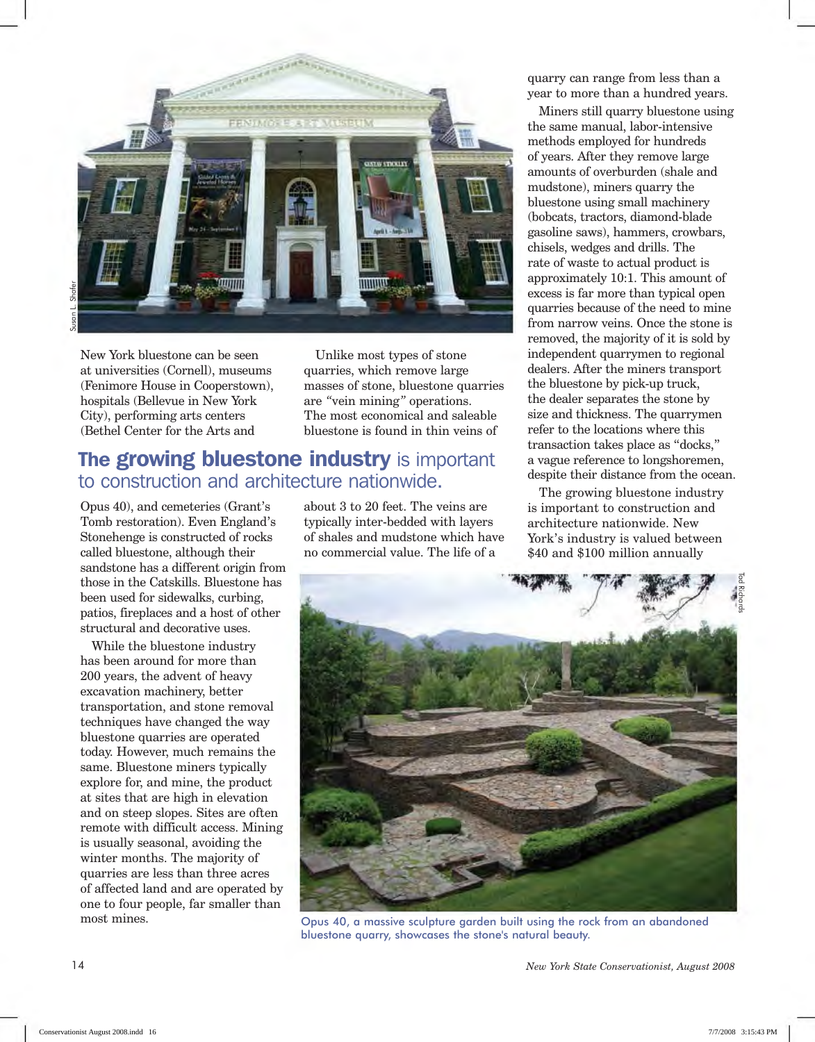

New York bluestone can be seen at universities (Cornell), museums (Fenimore House in Cooperstown), hospitals (Bellevue in New York City), performing arts centers (Bethel Center for the Arts and

Unlike most types of stone quarries, which remove large masses of stone, bluestone quarries are *"*vein mining*"* operations. The most economical and saleable bluestone is found in thin veins of

## The growing bluestone industry is important to construction and architecture nationwide.

Opus 40), and cemeteries (Grant's Tomb restoration). Even England's Stonehenge is constructed of rocks called bluestone, although their sandstone has a different origin from those in the Catskills. Bluestone has been used for sidewalks, curbing, patios, fireplaces and a host of other structural and decorative uses.

While the bluestone industry has been around for more than 200 years, the advent of heavy excavation machinery, better transportation, and stone removal techniques have changed the way bluestone quarries are operated today. However, much remains the same. Bluestone miners typically explore for, and mine, the product at sites that are high in elevation and on steep slopes. Sites are often remote with difficult access. Mining is usually seasonal, avoiding the winter months. The majority of quarries are less than three acres of affected land and are operated by one to four people, far smaller than most mines.

about 3 to 20 feet. The veins are typically inter-bedded with layers of shales and mudstone which have no commercial value. The life of a

quarry can range from less than a year to more than a hundred years.

Miners still quarry bluestone using the same manual, labor-intensive methods employed for hundreds of years. After they remove large amounts of overburden (shale and mudstone), miners quarry the bluestone using small machinery (bobcats, tractors, diamond-blade gasoline saws), hammers, crowbars, chisels, wedges and drills. The rate of waste to actual product is approximately 10:1. This amount of excess is far more than typical open quarries because of the need to mine from narrow veins. Once the stone is removed, the majority of it is sold by independent quarrymen to regional dealers. After the miners transport the bluestone by pick-up truck, the dealer separates the stone by size and thickness. The quarrymen refer to the locations where this transaction takes place as "docks," a vague reference to longshoremen, despite their distance from the ocean.

The growing bluestone industry is important to construction and architecture nationwide. New York's industry is valued between \$40 and \$100 million annually



Opus 40, a massive sculpture garden built using the rock from an abandoned bluestone quarry, showcases the stone's natural beauty.

*New York State Conservationist, August 2008* 

14